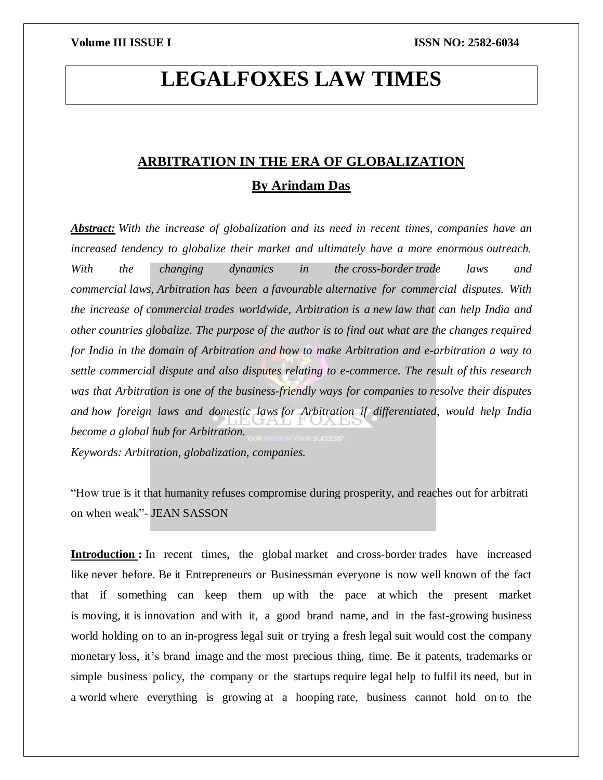# **LEGALFOXES LAW TIMES**

## **ARBITRATION IN THE ERA OF GLOBALIZATION By Arindam Das**

*Abstract: With the increase of globalization and its need in recent times, companies have an increased tendency to globalize their market and ultimately have a more enormous outreach. With the changing dynamics in the cross-border trade laws and commercial laws, Arbitration has been a favourable alternative for commercial disputes. With the increase of commercial trades worldwide, Arbitration is a new law that can help India and other countries globalize. The purpose of the author is to find out what are the changes required for India in the domain of Arbitration and how to make Arbitration and e-arbitration a way to settle commercial dispute and also disputes relating to e-commerce. The result of this research was that Arbitration is one of the business-friendly ways for companies to resolve their disputes and how foreign laws and domestic laws for Arbitration if differentiated, would help India become a global hub for Arbitration. Keywords: Arbitration, globalization, companies.*

"How true is it that humanity refuses compromise during prosperity, and reaches out for arbitrati on when weak"- JEAN SASSON

**Introduction :** In recent times, the global market and cross-border trades have increased like never before. Be it Entrepreneurs or Businessman everyone is now well known of the fact that if something can keep them up with the pace at which the present market is moving, it is innovation and with it, a good brand name, and in the fast-growing business world holding on to an in-progress legal suit or trying a fresh legal suit would cost the company monetary loss, it's brand image and the most precious thing, time. Be it patents, trademarks or simple business policy, the company or the startups require legal help to fulfil its need, but in a world where everything is growing at a hooping rate, business cannot hold on to the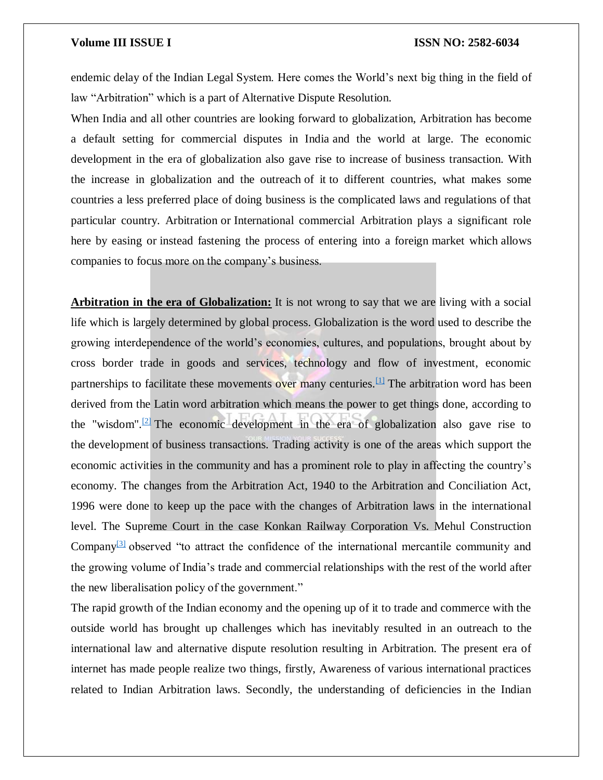endemic delay of the Indian Legal System. Here comes the World's next big thing in the field of law "Arbitration" which is a part of Alternative Dispute Resolution.

When India and all other countries are looking forward to globalization, Arbitration has become a default setting for commercial disputes in India and the world at large. The economic development in the era of globalization also gave rise to increase of business transaction. With the increase in globalization and the outreach of it to different countries, what makes some countries a less preferred place of doing business is the complicated laws and regulations of that particular country. Arbitration or International commercial Arbitration plays a significant role here by easing or instead fastening the process of entering into a foreign market which allows companies to focus more on the company's business.

**Arbitration in the era of Globalization:** It is not wrong to say that we are living with a social life which is largely determined by global process. Globalization is the word used to describe the growing interdependence of the world's economies, cultures, and populations, brought about by cross border trade in goods and services, technology and flow of investment, economic partnerships to facilitate these movements over many centuries.<sup>[\[1\]](https://word-edit.officeapps.live.com/we/wordeditorframe.aspx?new=1&ui=en-US&rs=en-US&hid=LhiTjmwnB02WAu%2BEoPNrPQ.0&wopisrc=https%3A%2F%2Fwopi.onedrive.com%2Fwopi%2Ffiles%2FB063C91436CC1FD6!688&wdnewandopenct=1629287700794&wdprevioussession=4212dee7-eb70-4b78-a253-e2baaf374449&wdorigin=Unknown&wdo=2&wde=docx&sc=host%3D%26qt%3DFolders&mscc=1&wdp=0&uih=OneDrive&jsapi=1&jsapiver=v2&corrid=ac5aa7d2-844b-478f-91c5-2fd135a2b0ec&usid=ac5aa7d2-844b-478f-91c5-2fd135a2b0ec&newsession=1&sftc=1&wdredirectionreason=Unified_SingleFlush#_ftn1)</sup> The arbitration word has been derived from the Latin word arbitration which means the power to get things done, according to the "wisdom".<sup>[\[2\]](https://word-edit.officeapps.live.com/we/wordeditorframe.aspx?new=1&ui=en-US&rs=en-US&hid=LhiTjmwnB02WAu%2BEoPNrPQ.0&wopisrc=https%3A%2F%2Fwopi.onedrive.com%2Fwopi%2Ffiles%2FB063C91436CC1FD6!688&wdnewandopenct=1629287700794&wdprevioussession=4212dee7-eb70-4b78-a253-e2baaf374449&wdorigin=Unknown&wdo=2&wde=docx&sc=host%3D%26qt%3DFolders&mscc=1&wdp=0&uih=OneDrive&jsapi=1&jsapiver=v2&corrid=ac5aa7d2-844b-478f-91c5-2fd135a2b0ec&usid=ac5aa7d2-844b-478f-91c5-2fd135a2b0ec&newsession=1&sftc=1&wdredirectionreason=Unified_SingleFlush#_ftn2)</sup> The economic development in the era of globalization also gave rise to the development of business transactions. Trading activity is one of the areas which support the economic activities in the community and has a prominent role to play in affecting the country's economy. The changes from the Arbitration Act, 1940 to the Arbitration and Conciliation Act, 1996 were done to keep up the pace with the changes of Arbitration laws in the international level. The Supreme Court in the case Konkan Railway Corporation Vs. Mehul Construction Company<sup>[\[3\]](https://word-edit.officeapps.live.com/we/wordeditorframe.aspx?new=1&ui=en-US&rs=en-US&hid=LhiTjmwnB02WAu%2BEoPNrPQ.0&wopisrc=https%3A%2F%2Fwopi.onedrive.com%2Fwopi%2Ffiles%2FB063C91436CC1FD6!688&wdnewandopenct=1629287700794&wdprevioussession=4212dee7-eb70-4b78-a253-e2baaf374449&wdorigin=Unknown&wdo=2&wde=docx&sc=host%3D%26qt%3DFolders&mscc=1&wdp=0&uih=OneDrive&jsapi=1&jsapiver=v2&corrid=ac5aa7d2-844b-478f-91c5-2fd135a2b0ec&usid=ac5aa7d2-844b-478f-91c5-2fd135a2b0ec&newsession=1&sftc=1&wdredirectionreason=Unified_SingleFlush#_ftn3)</sup> observed "to attract the confidence of the international mercantile community and the growing volume of India's trade and commercial relationships with the rest of the world after the new liberalisation policy of the government."

The rapid growth of the Indian economy and the opening up of it to trade and commerce with the outside world has brought up challenges which has inevitably resulted in an outreach to the international law and alternative dispute resolution resulting in Arbitration. The present era of internet has made people realize two things, firstly, Awareness of various international practices related to Indian Arbitration laws. Secondly, the understanding of deficiencies in the Indian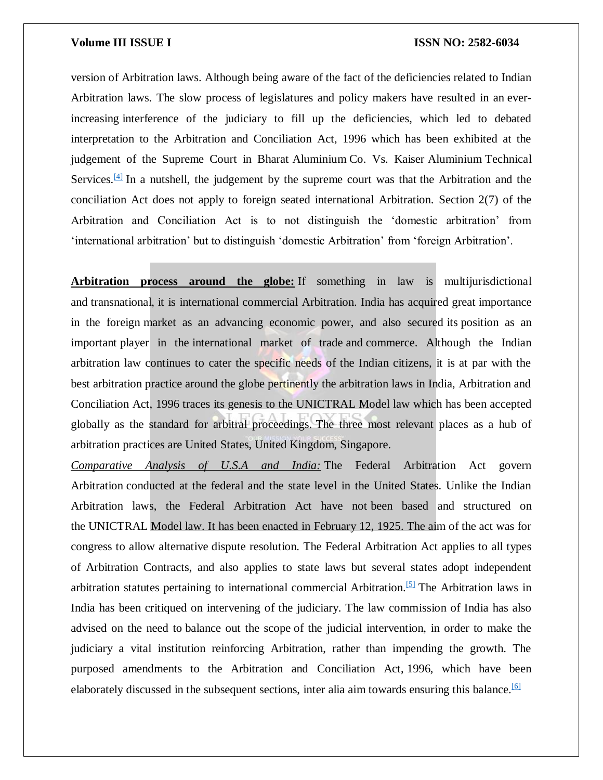version of Arbitration laws. Although being aware of the fact of the deficiencies related to Indian Arbitration laws. The slow process of legislatures and policy makers have resulted in an everincreasing interference of the judiciary to fill up the deficiencies, which led to debated interpretation to the Arbitration and Conciliation Act, 1996 which has been exhibited at the judgement of the Supreme Court in Bharat Aluminium Co. Vs. Kaiser Aluminium Technical Services.<sup>[\[4\]](https://word-edit.officeapps.live.com/we/wordeditorframe.aspx?new=1&ui=en-US&rs=en-US&hid=LhiTjmwnB02WAu%2BEoPNrPQ.0&wopisrc=https%3A%2F%2Fwopi.onedrive.com%2Fwopi%2Ffiles%2FB063C91436CC1FD6!688&wdnewandopenct=1629287700794&wdprevioussession=4212dee7-eb70-4b78-a253-e2baaf374449&wdorigin=Unknown&wdo=2&wde=docx&sc=host%3D%26qt%3DFolders&mscc=1&wdp=0&uih=OneDrive&jsapi=1&jsapiver=v2&corrid=ac5aa7d2-844b-478f-91c5-2fd135a2b0ec&usid=ac5aa7d2-844b-478f-91c5-2fd135a2b0ec&newsession=1&sftc=1&wdredirectionreason=Unified_SingleFlush#_ftn4)</sup> In a nutshell, the judgement by the supreme court was that the Arbitration and the conciliation Act does not apply to foreign seated international Arbitration. Section 2(7) of the Arbitration and Conciliation Act is to not distinguish the 'domestic arbitration' from 'international arbitration' but to distinguish 'domestic Arbitration' from 'foreign Arbitration'.

**Arbitration process around the globe:** If something in law is multijurisdictional and transnational, it is international commercial Arbitration. India has acquired great importance in the foreign market as an advancing economic power, and also secured its position as an important player in the international market of trade and commerce. Although the Indian arbitration law continues to cater the specific needs of the Indian citizens, it is at par with the best arbitration practice around the globe pertinently the arbitration laws in India, Arbitration and Conciliation Act, 1996 traces its genesis to the UNICTRAL Model law which has been accepted globally as the standard for arbitral proceedings. The three most relevant places as a hub of arbitration practices are United States, United Kingdom, Singapore.

*Comparative Analysis of U.S.A and India:* The Federal Arbitration Act govern Arbitration conducted at the federal and the state level in the United States. Unlike the Indian Arbitration laws, the Federal Arbitration Act have not been based and structured on the UNICTRAL Model law. It has been enacted in February 12, 1925. The aim of the act was for congress to allow alternative dispute resolution. The Federal Arbitration Act applies to all types of Arbitration Contracts, and also applies to state laws but several states adopt independent arbitration statutes pertaining to international commercial Arbitration.[\[5\]](https://word-edit.officeapps.live.com/we/wordeditorframe.aspx?new=1&ui=en-US&rs=en-US&hid=LhiTjmwnB02WAu%2BEoPNrPQ.0&wopisrc=https%3A%2F%2Fwopi.onedrive.com%2Fwopi%2Ffiles%2FB063C91436CC1FD6!688&wdnewandopenct=1629287700794&wdprevioussession=4212dee7-eb70-4b78-a253-e2baaf374449&wdorigin=Unknown&wdo=2&wde=docx&sc=host%3D%26qt%3DFolders&mscc=1&wdp=0&uih=OneDrive&jsapi=1&jsapiver=v2&corrid=ac5aa7d2-844b-478f-91c5-2fd135a2b0ec&usid=ac5aa7d2-844b-478f-91c5-2fd135a2b0ec&newsession=1&sftc=1&wdredirectionreason=Unified_SingleFlush#_ftn5) The Arbitration laws in India has been critiqued on intervening of the judiciary. The law commission of India has also advised on the need to balance out the scope of the judicial intervention, in order to make the judiciary a vital institution reinforcing Arbitration, rather than impending the growth. The purposed amendments to the Arbitration and Conciliation Act, 1996, which have been elaborately discussed in the subsequent sections, inter alia aim towards ensuring this balance.<sup>[\[6\]](https://word-edit.officeapps.live.com/we/wordeditorframe.aspx?new=1&ui=en-US&rs=en-US&hid=LhiTjmwnB02WAu%2BEoPNrPQ.0&wopisrc=https%3A%2F%2Fwopi.onedrive.com%2Fwopi%2Ffiles%2FB063C91436CC1FD6!688&wdnewandopenct=1629287700794&wdprevioussession=4212dee7-eb70-4b78-a253-e2baaf374449&wdorigin=Unknown&wdo=2&wde=docx&sc=host%3D%26qt%3DFolders&mscc=1&wdp=0&uih=OneDrive&jsapi=1&jsapiver=v2&corrid=ac5aa7d2-844b-478f-91c5-2fd135a2b0ec&usid=ac5aa7d2-844b-478f-91c5-2fd135a2b0ec&newsession=1&sftc=1&wdredirectionreason=Unified_SingleFlush#_ftn6)</sup>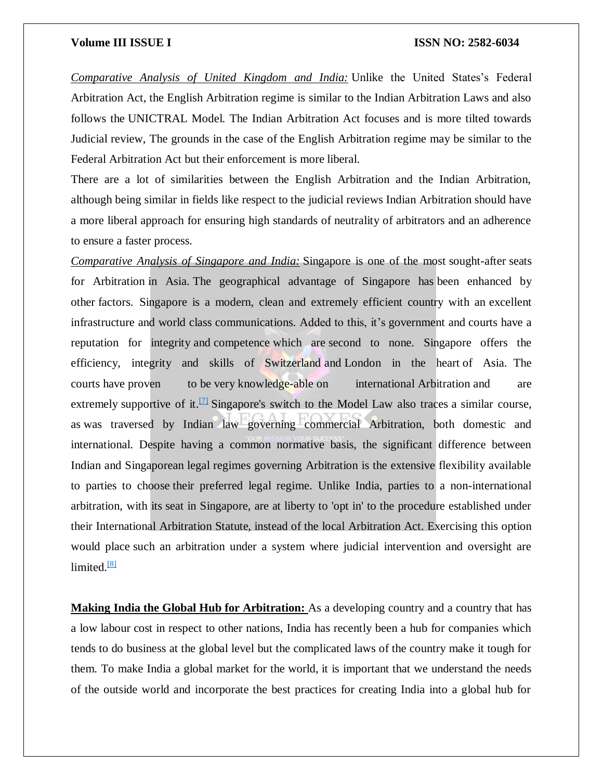*Comparative Analysis of United Kingdom and India:* Unlike the United States's Federal Arbitration Act, the English Arbitration regime is similar to the Indian Arbitration Laws and also follows the UNICTRAL Model. The Indian Arbitration Act focuses and is more tilted towards Judicial review, The grounds in the case of the English Arbitration regime may be similar to the Federal Arbitration Act but their enforcement is more liberal.

There are a lot of similarities between the English Arbitration and the Indian Arbitration, although being similar in fields like respect to the judicial reviews Indian Arbitration should have a more liberal approach for ensuring high standards of neutrality of arbitrators and an adherence to ensure a faster process.

*Comparative Analysis of Singapore and India:* Singapore is one of the most sought-after seats for Arbitration in Asia. The geographical advantage of Singapore has been enhanced by other factors. Singapore is a modern, clean and extremely efficient country with an excellent infrastructure and world class communications. Added to this, it's government and courts have a reputation for integrity and competence which are second to none. Singapore offers the efficiency, integrity and skills of Switzerland and London in the heart of Asia. The courts have proven to be very knowledge-able on international Arbitration and are extremely supportive of it.<sup>[\[7\]](https://word-edit.officeapps.live.com/we/wordeditorframe.aspx?new=1&ui=en-US&rs=en-US&hid=LhiTjmwnB02WAu%2BEoPNrPQ.0&wopisrc=https%3A%2F%2Fwopi.onedrive.com%2Fwopi%2Ffiles%2FB063C91436CC1FD6!688&wdnewandopenct=1629287700794&wdprevioussession=4212dee7-eb70-4b78-a253-e2baaf374449&wdorigin=Unknown&wdo=2&wde=docx&sc=host%3D%26qt%3DFolders&mscc=1&wdp=0&uih=OneDrive&jsapi=1&jsapiver=v2&corrid=ac5aa7d2-844b-478f-91c5-2fd135a2b0ec&usid=ac5aa7d2-844b-478f-91c5-2fd135a2b0ec&newsession=1&sftc=1&wdredirectionreason=Unified_SingleFlush#_ftn7)</sup> Singapore's switch to the Model Law also traces a similar course, as was traversed by Indian law governing commercial Arbitration, both domestic and international. Despite having a common normative basis, the significant difference between Indian and Singaporean legal regimes governing Arbitration is the extensive flexibility available to parties to choose their preferred legal regime. Unlike India, parties to a non-international arbitration, with its seat in Singapore, are at liberty to 'opt in' to the procedure established under their International Arbitration Statute, instead of the local Arbitration Act. Exercising this option would place such an arbitration under a system where judicial intervention and oversight are  $limited.<sup>[8]</sup>$  $limited.<sup>[8]</sup>$  $limited.<sup>[8]</sup>$ 

**Making India the Global Hub for Arbitration:** As a developing country and a country that has a low labour cost in respect to other nations, India has recently been a hub for companies which tends to do business at the global level but the complicated laws of the country make it tough for them. To make India a global market for the world, it is important that we understand the needs of the outside world and incorporate the best practices for creating India into a global hub for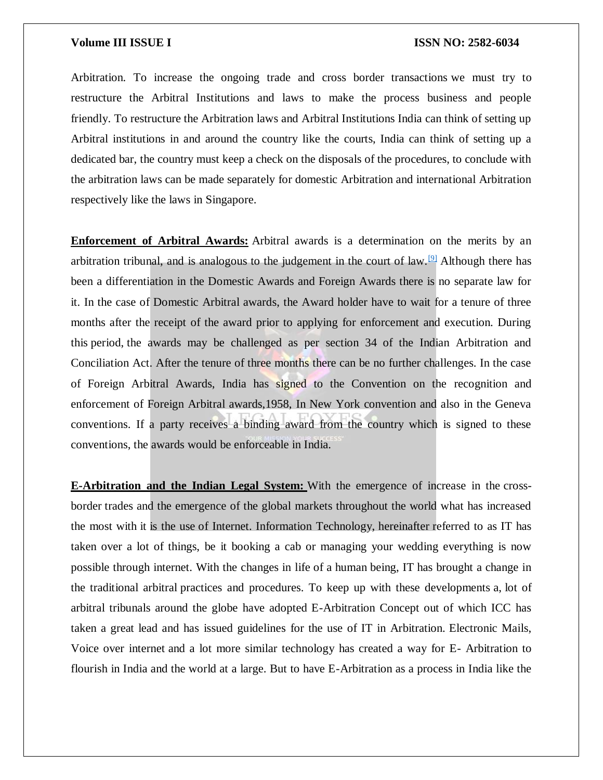Arbitration. To increase the ongoing trade and cross border transactions we must try to restructure the Arbitral Institutions and laws to make the process business and people friendly. To restructure the Arbitration laws and Arbitral Institutions India can think of setting up Arbitral institutions in and around the country like the courts, India can think of setting up a dedicated bar, the country must keep a check on the disposals of the procedures, to conclude with the arbitration laws can be made separately for domestic Arbitration and international Arbitration respectively like the laws in Singapore.

**Enforcement of Arbitral Awards:** Arbitral awards is a determination on the merits by an arbitration tribunal, and is analogous to the judgement in the court of law.<sup>[\[9\]](https://word-edit.officeapps.live.com/we/wordeditorframe.aspx?new=1&ui=en-US&rs=en-US&hid=LhiTjmwnB02WAu%2BEoPNrPQ.0&wopisrc=https%3A%2F%2Fwopi.onedrive.com%2Fwopi%2Ffiles%2FB063C91436CC1FD6!688&wdnewandopenct=1629287700794&wdprevioussession=4212dee7-eb70-4b78-a253-e2baaf374449&wdorigin=Unknown&wdo=2&wde=docx&sc=host%3D%26qt%3DFolders&mscc=1&wdp=0&uih=OneDrive&jsapi=1&jsapiver=v2&corrid=ac5aa7d2-844b-478f-91c5-2fd135a2b0ec&usid=ac5aa7d2-844b-478f-91c5-2fd135a2b0ec&newsession=1&sftc=1&wdredirectionreason=Unified_SingleFlush#_ftn9)</sup> Although there has been a differentiation in the Domestic Awards and Foreign Awards there is no separate law for it. In the case of Domestic Arbitral awards, the Award holder have to wait for a tenure of three months after the receipt of the award prior to applying for enforcement and execution. During this period, the awards may be challenged as per section 34 of the Indian Arbitration and Conciliation Act. After the tenure of three months there can be no further challenges. In the case of Foreign Arbitral Awards, India has signed to the Convention on the recognition and enforcement of Foreign Arbitral awards,1958, In New York convention and also in the Geneva conventions. If a party receives a binding award from the country which is signed to these conventions, the awards would be enforceable in India.

**E-Arbitration and the Indian Legal System:** With the emergence of increase in the crossborder trades and the emergence of the global markets throughout the world what has increased the most with it is the use of Internet. Information Technology, hereinafter referred to as IT has taken over a lot of things, be it booking a cab or managing your wedding everything is now possible through internet. With the changes in life of a human being, IT has brought a change in the traditional arbitral practices and procedures. To keep up with these developments a, lot of arbitral tribunals around the globe have adopted E-Arbitration Concept out of which ICC has taken a great lead and has issued guidelines for the use of IT in Arbitration. Electronic Mails, Voice over internet and a lot more similar technology has created a way for E- Arbitration to flourish in India and the world at a large. But to have E-Arbitration as a process in India like the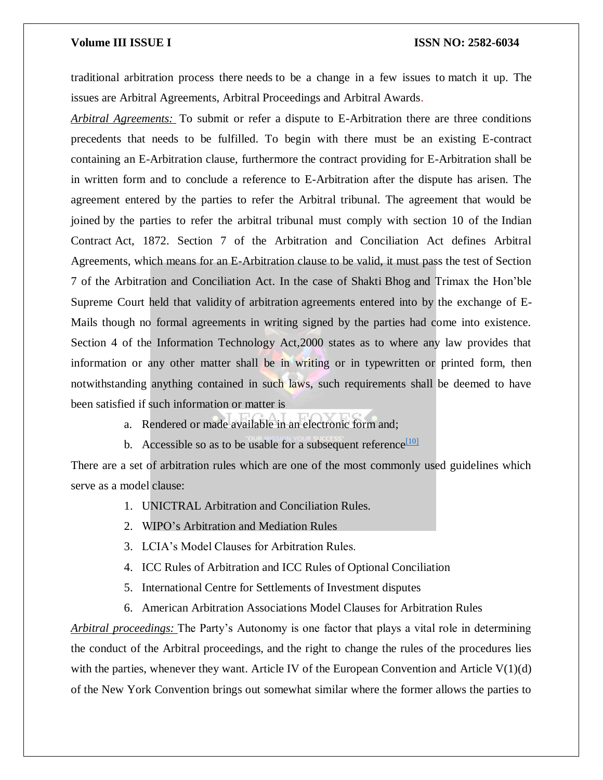traditional arbitration process there needs to be a change in a few issues to match it up. The issues are Arbitral Agreements, Arbitral Proceedings and Arbitral Awards.

*Arbitral Agreements:* To submit or refer a dispute to E-Arbitration there are three conditions precedents that needs to be fulfilled. To begin with there must be an existing E-contract containing an E-Arbitration clause, furthermore the contract providing for E-Arbitration shall be in written form and to conclude a reference to E-Arbitration after the dispute has arisen. The agreement entered by the parties to refer the Arbitral tribunal. The agreement that would be joined by the parties to refer the arbitral tribunal must comply with section 10 of the Indian Contract Act, 1872. Section 7 of the Arbitration and Conciliation Act defines Arbitral Agreements, which means for an E-Arbitration clause to be valid, it must pass the test of Section 7 of the Arbitration and Conciliation Act. In the case of Shakti Bhog and Trimax the Hon'ble Supreme Court held that validity of arbitration agreements entered into by the exchange of E-Mails though no formal agreements in writing signed by the parties had come into existence. Section 4 of the Information Technology Act,2000 states as to where any law provides that information or any other matter shall be in writing or in typewritten or printed form, then notwithstanding anything contained in such laws, such requirements shall be deemed to have been satisfied if such information or matter is

- a. Rendered or made available in an electronic form and;
- b. Accessible so as to be usable for a subsequent reference  $\frac{1101}{2}$

There are a set of arbitration rules which are one of the most commonly used guidelines which serve as a model clause:

- 1. UNICTRAL Arbitration and Conciliation Rules.
- 2. WIPO's Arbitration and Mediation Rules
- 3. LCIA's Model Clauses for Arbitration Rules.
- 4. ICC Rules of Arbitration and ICC Rules of Optional Conciliation
- 5. International Centre for Settlements of Investment disputes
- 6. American Arbitration Associations Model Clauses for Arbitration Rules

*Arbitral proceedings:* The Party's Autonomy is one factor that plays a vital role in determining the conduct of the Arbitral proceedings, and the right to change the rules of the procedures lies with the parties, whenever they want. Article IV of the European Convention and Article  $V(1)(d)$ of the New York Convention brings out somewhat similar where the former allows the parties to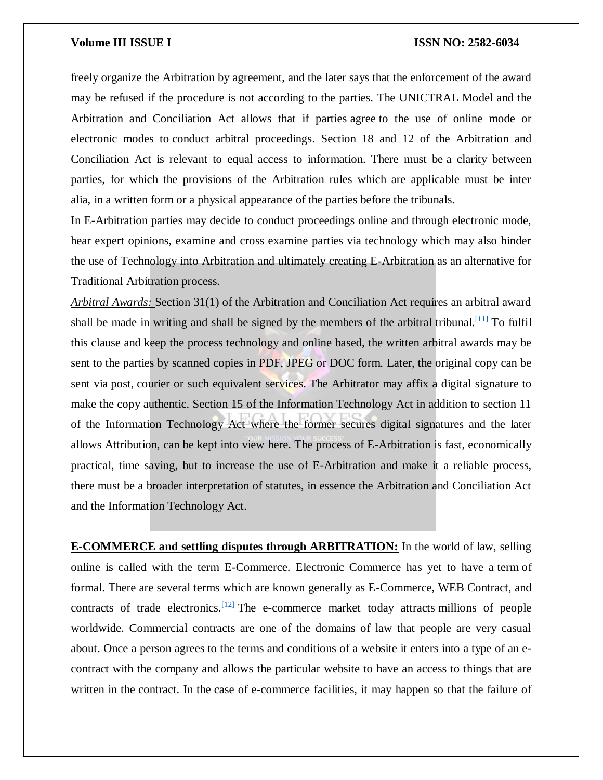freely organize the Arbitration by agreement, and the later says that the enforcement of the award may be refused if the procedure is not according to the parties. The UNICTRAL Model and the Arbitration and Conciliation Act allows that if parties agree to the use of online mode or electronic modes to conduct arbitral proceedings. Section 18 and 12 of the Arbitration and Conciliation Act is relevant to equal access to information. There must be a clarity between parties, for which the provisions of the Arbitration rules which are applicable must be inter alia, in a written form or a physical appearance of the parties before the tribunals.

In E-Arbitration parties may decide to conduct proceedings online and through electronic mode, hear expert opinions, examine and cross examine parties via technology which may also hinder the use of Technology into Arbitration and ultimately creating E-Arbitration as an alternative for Traditional Arbitration process.

*Arbitral Awards:* Section 31(1) of the Arbitration and Conciliation Act requires an arbitral award shall be made in writing and shall be signed by the members of the arbitral tribunal.<sup>[\[11\]](https://word-edit.officeapps.live.com/we/wordeditorframe.aspx?new=1&ui=en-US&rs=en-US&hid=LhiTjmwnB02WAu%2BEoPNrPQ.0&wopisrc=https%3A%2F%2Fwopi.onedrive.com%2Fwopi%2Ffiles%2FB063C91436CC1FD6!688&wdnewandopenct=1629287700794&wdprevioussession=4212dee7-eb70-4b78-a253-e2baaf374449&wdorigin=Unknown&wdo=2&wde=docx&sc=host%3D%26qt%3DFolders&mscc=1&wdp=0&uih=OneDrive&jsapi=1&jsapiver=v2&corrid=ac5aa7d2-844b-478f-91c5-2fd135a2b0ec&usid=ac5aa7d2-844b-478f-91c5-2fd135a2b0ec&newsession=1&sftc=1&wdredirectionreason=Unified_SingleFlush#_ftn11)</sup> To fulfil this clause and keep the process technology and online based, the written arbitral awards may be sent to the parties by scanned copies in PDF, JPEG or DOC form. Later, the original copy can be sent via post, courier or such equivalent services. The Arbitrator may affix a digital signature to make the copy authentic. Section 15 of the Information Technology Act in addition to section 11 of the Information Technology Act where the former secures digital signatures and the later allows Attribution, can be kept into view here. The process of E-Arbitration is fast, economically practical, time saving, but to increase the use of E-Arbitration and make it a reliable process, there must be a broader interpretation of statutes, in essence the Arbitration and Conciliation Act and the Information Technology Act.

**E-COMMERCE and settling disputes through ARBITRATION:** In the world of law, selling online is called with the term E-Commerce. Electronic Commerce has yet to have a term of formal. There are several terms which are known generally as E-Commerce, WEB Contract, and contracts of trade electronics.<sup>[\[12\]](https://word-edit.officeapps.live.com/we/wordeditorframe.aspx?new=1&ui=en-US&rs=en-US&hid=LhiTjmwnB02WAu%2BEoPNrPQ.0&wopisrc=https%3A%2F%2Fwopi.onedrive.com%2Fwopi%2Ffiles%2FB063C91436CC1FD6!688&wdnewandopenct=1629287700794&wdprevioussession=4212dee7-eb70-4b78-a253-e2baaf374449&wdorigin=Unknown&wdo=2&wde=docx&sc=host%3D%26qt%3DFolders&mscc=1&wdp=0&uih=OneDrive&jsapi=1&jsapiver=v2&corrid=ac5aa7d2-844b-478f-91c5-2fd135a2b0ec&usid=ac5aa7d2-844b-478f-91c5-2fd135a2b0ec&newsession=1&sftc=1&wdredirectionreason=Unified_SingleFlush#_ftn12)</sup> The e-commerce market today attracts millions of people worldwide. Commercial contracts are one of the domains of law that people are very casual about. Once a person agrees to the terms and conditions of a website it enters into a type of an econtract with the company and allows the particular website to have an access to things that are written in the contract. In the case of e-commerce facilities, it may happen so that the failure of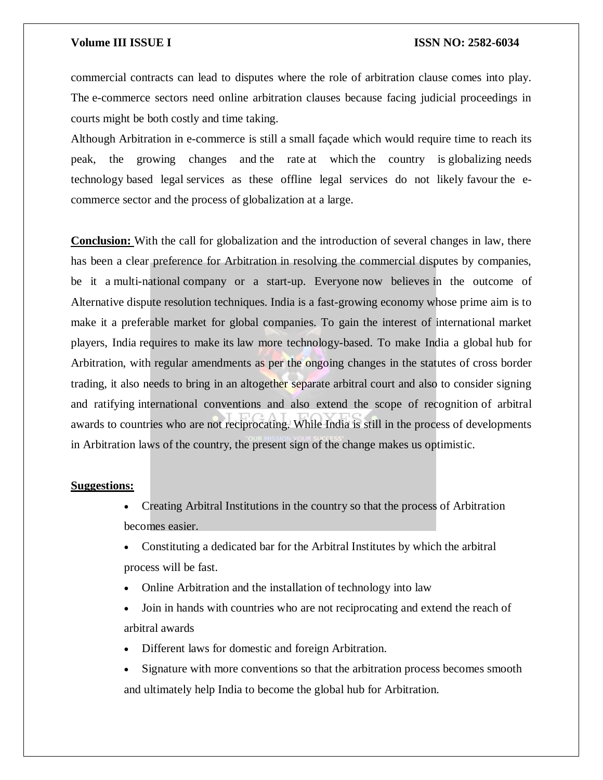commercial contracts can lead to disputes where the role of arbitration clause comes into play. The e-commerce sectors need online arbitration clauses because facing judicial proceedings in courts might be both costly and time taking.

Although Arbitration in e-commerce is still a small façade which would require time to reach its peak, the growing changes and the rate at which the country is globalizing needs technology based legal services as these offline legal services do not likely favour the ecommerce sector and the process of globalization at a large.

**Conclusion:** With the call for globalization and the introduction of several changes in law, there has been a clear preference for Arbitration in resolving the commercial disputes by companies, be it a multi-national company or a start-up. Everyone now believes in the outcome of Alternative dispute resolution techniques. India is a fast-growing economy whose prime aim is to make it a preferable market for global companies. To gain the interest of international market players, India requires to make its law more technology-based. To make India a global hub for Arbitration, with regular amendments as per the ongoing changes in the statutes of cross border trading, it also needs to bring in an altogether separate arbitral court and also to consider signing and ratifying international conventions and also extend the scope of recognition of arbitral awards to countries who are not reciprocating. While India is still in the process of developments in Arbitration laws of the country, the present sign of the change makes us optimistic.

### **Suggestions:**

- Creating Arbitral Institutions in the country so that the process of Arbitration becomes easier.
- Constituting a dedicated bar for the Arbitral Institutes by which the arbitral process will be fast.
- Online Arbitration and the installation of technology into law
- Join in hands with countries who are not reciprocating and extend the reach of arbitral awards
- Different laws for domestic and foreign Arbitration.
- Signature with more conventions so that the arbitration process becomes smooth and ultimately help India to become the global hub for Arbitration.